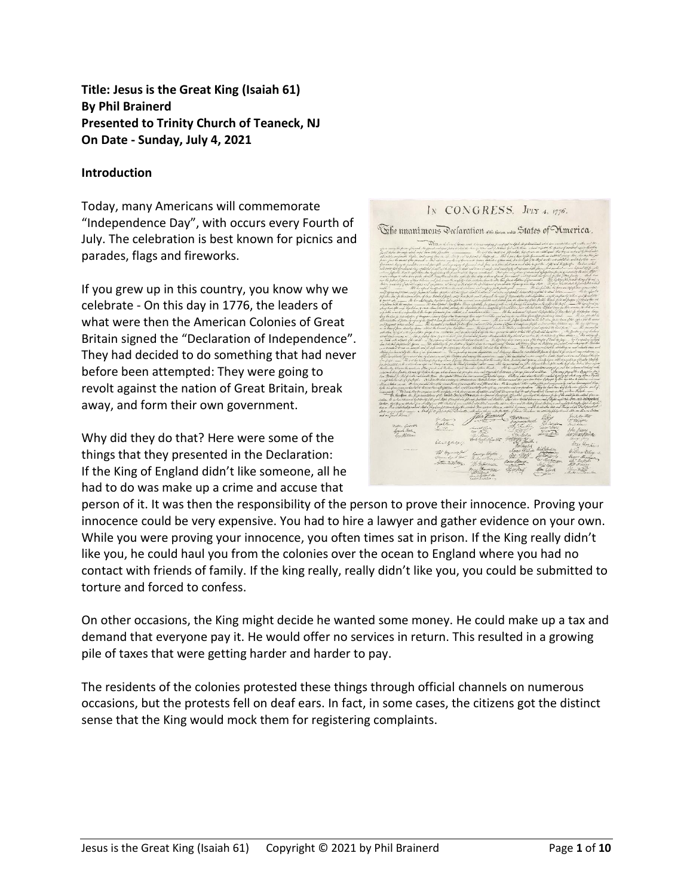**Title: Jesus is the Great King (Isaiah 61) By Phil Brainerd Presented to Trinity Church of Teaneck, NJ On Date - Sunday, July 4, 2021**

#### **Introduction**

Today, many Americans will commemorate "Independence Day", with occurs every Fourth of July. The celebration is best known for picnics and parades, flags and fireworks.

If you grew up in this country, you know why we celebrate - On this day in 1776, the leaders of what were then the American Colonies of Great Britain signed the "Declaration of Independence". They had decided to do something that had never before been attempted: They were going to revolt against the nation of Great Britain, break away, and form their own government.

Why did they do that? Here were some of the things that they presented in the Declaration: If the King of England didn't like someone, all he had to do was make up a crime and accuse that



person of it. It was then the responsibility of the person to prove their innocence. Proving your innocence could be very expensive. You had to hire a lawyer and gather evidence on your own. While you were proving your innocence, you often times sat in prison. If the King really didn't like you, he could haul you from the colonies over the ocean to England where you had no contact with friends of family. If the king really, really didn't like you, you could be submitted to torture and forced to confess.

On other occasions, the King might decide he wanted some money. He could make up a tax and demand that everyone pay it. He would offer no services in return. This resulted in a growing pile of taxes that were getting harder and harder to pay.

The residents of the colonies protested these things through official channels on numerous occasions, but the protests fell on deaf ears. In fact, in some cases, the citizens got the distinct sense that the King would mock them for registering complaints.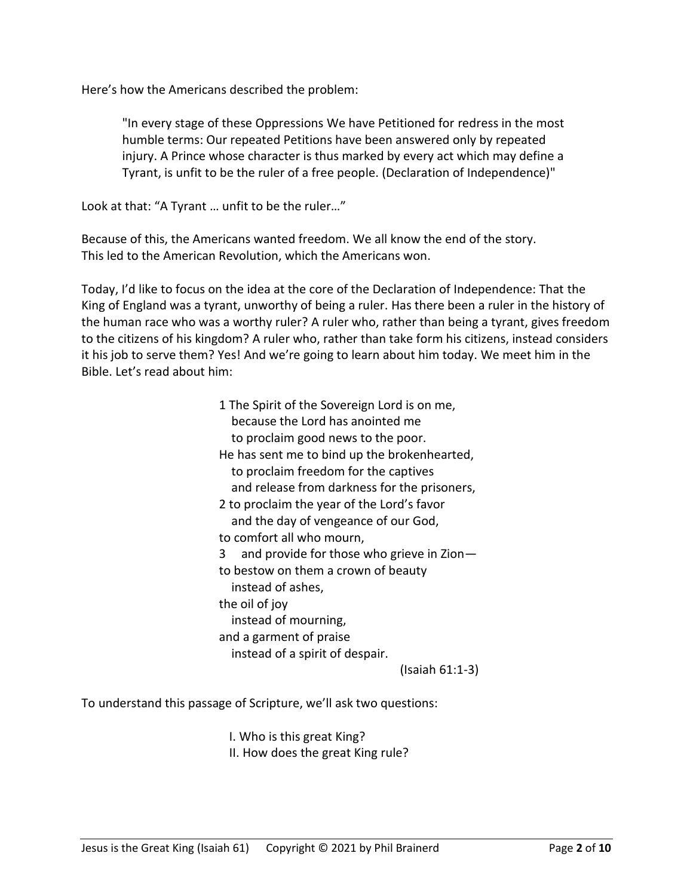Here's how the Americans described the problem:

"In every stage of these Oppressions We have Petitioned for redress in the most humble terms: Our repeated Petitions have been answered only by repeated injury. A Prince whose character is thus marked by every act which may define a Tyrant, is unfit to be the ruler of a free people. (Declaration of Independence)"

Look at that: "A Tyrant … unfit to be the ruler…"

Because of this, the Americans wanted freedom. We all know the end of the story. This led to the American Revolution, which the Americans won.

Today, I'd like to focus on the idea at the core of the Declaration of Independence: That the King of England was a tyrant, unworthy of being a ruler. Has there been a ruler in the history of the human race who was a worthy ruler? A ruler who, rather than being a tyrant, gives freedom to the citizens of his kingdom? A ruler who, rather than take form his citizens, instead considers it his job to serve them? Yes! And we're going to learn about him today. We meet him in the Bible. Let's read about him:

> 1 The Spirit of the Sovereign Lord is on me, because the Lord has anointed me to proclaim good news to the poor. He has sent me to bind up the brokenhearted, to proclaim freedom for the captives and release from darkness for the prisoners, 2 to proclaim the year of the Lord's favor and the day of vengeance of our God, to comfort all who mourn, 3 and provide for those who grieve in Zion to bestow on them a crown of beauty instead of ashes, the oil of joy instead of mourning, and a garment of praise instead of a spirit of despair. (Isaiah 61:1-3)

To understand this passage of Scripture, we'll ask two questions:

I. Who is this great King? II. How does the great King rule?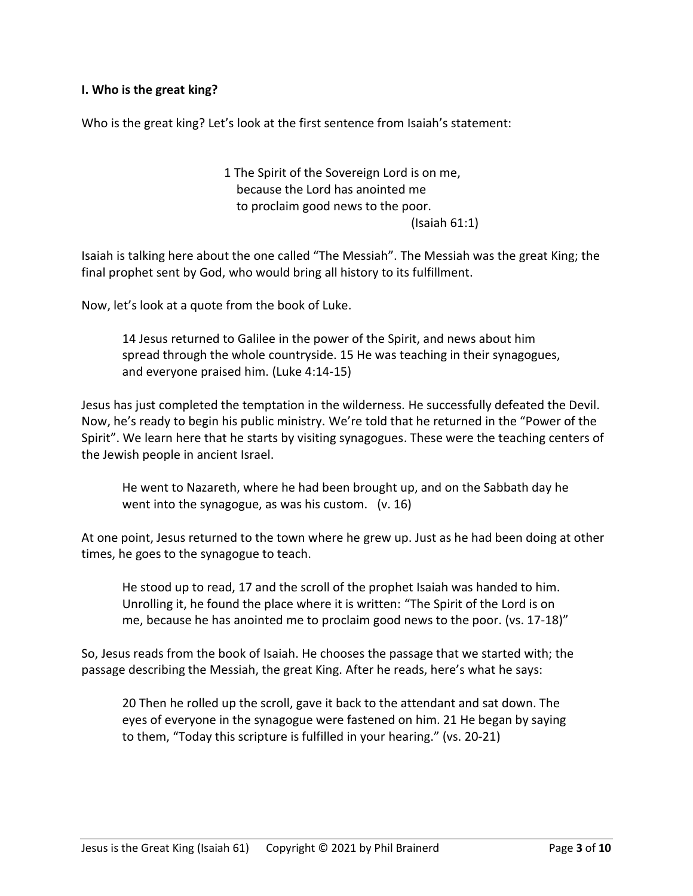#### **I. Who is the great king?**

Who is the great king? Let's look at the first sentence from Isaiah's statement:

1 The Spirit of the Sovereign Lord is on me, because the Lord has anointed me to proclaim good news to the poor. (Isaiah 61:1)

Isaiah is talking here about the one called "The Messiah". The Messiah was the great King; the final prophet sent by God, who would bring all history to its fulfillment.

Now, let's look at a quote from the book of Luke.

14 Jesus returned to Galilee in the power of the Spirit, and news about him spread through the whole countryside. 15 He was teaching in their synagogues, and everyone praised him. (Luke 4:14-15)

Jesus has just completed the temptation in the wilderness. He successfully defeated the Devil. Now, he's ready to begin his public ministry. We're told that he returned in the "Power of the Spirit". We learn here that he starts by visiting synagogues. These were the teaching centers of the Jewish people in ancient Israel.

He went to Nazareth, where he had been brought up, and on the Sabbath day he went into the synagogue, as was his custom. (v. 16)

At one point, Jesus returned to the town where he grew up. Just as he had been doing at other times, he goes to the synagogue to teach.

He stood up to read, 17 and the scroll of the prophet Isaiah was handed to him. Unrolling it, he found the place where it is written: "The Spirit of the Lord is on me, because he has anointed me to proclaim good news to the poor. (vs. 17-18)"

So, Jesus reads from the book of Isaiah. He chooses the passage that we started with; the passage describing the Messiah, the great King. After he reads, here's what he says:

20 Then he rolled up the scroll, gave it back to the attendant and sat down. The eyes of everyone in the synagogue were fastened on him. 21 He began by saying to them, "Today this scripture is fulfilled in your hearing." (vs. 20-21)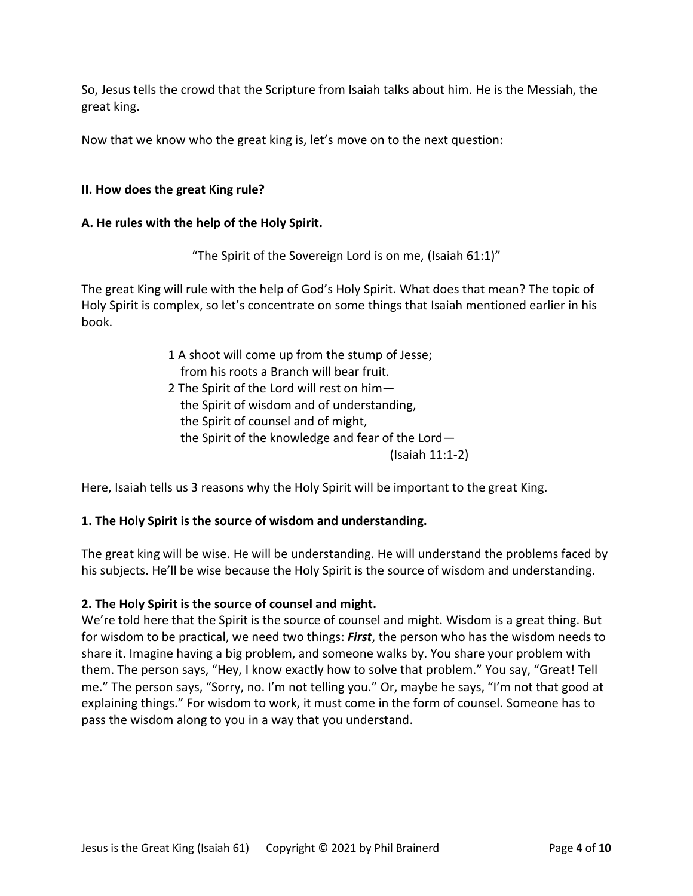So, Jesus tells the crowd that the Scripture from Isaiah talks about him. He is the Messiah, the great king.

Now that we know who the great king is, let's move on to the next question:

## **II. How does the great King rule?**

### **A. He rules with the help of the Holy Spirit.**

"The Spirit of the Sovereign Lord is on me, (Isaiah 61:1)"

The great King will rule with the help of God's Holy Spirit. What does that mean? The topic of Holy Spirit is complex, so let's concentrate on some things that Isaiah mentioned earlier in his book.

- 1 A shoot will come up from the stump of Jesse; from his roots a Branch will bear fruit.
- 2 The Spirit of the Lord will rest on him the Spirit of wisdom and of understanding, the Spirit of counsel and of might, the Spirit of the knowledge and fear of the Lord— (Isaiah 11:1-2)

Here, Isaiah tells us 3 reasons why the Holy Spirit will be important to the great King.

### **1. The Holy Spirit is the source of wisdom and understanding.**

The great king will be wise. He will be understanding. He will understand the problems faced by his subjects. He'll be wise because the Holy Spirit is the source of wisdom and understanding.

# **2. The Holy Spirit is the source of counsel and might.**

We're told here that the Spirit is the source of counsel and might. Wisdom is a great thing. But for wisdom to be practical, we need two things: *First*, the person who has the wisdom needs to share it. Imagine having a big problem, and someone walks by. You share your problem with them. The person says, "Hey, I know exactly how to solve that problem." You say, "Great! Tell me." The person says, "Sorry, no. I'm not telling you." Or, maybe he says, "I'm not that good at explaining things." For wisdom to work, it must come in the form of counsel. Someone has to pass the wisdom along to you in a way that you understand.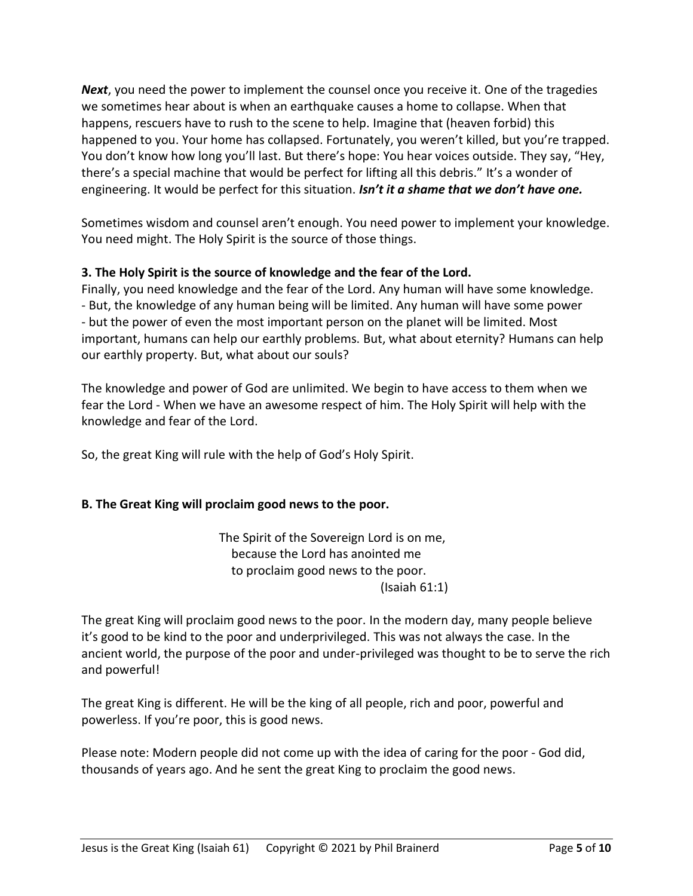*Next*, you need the power to implement the counsel once you receive it. One of the tragedies we sometimes hear about is when an earthquake causes a home to collapse. When that happens, rescuers have to rush to the scene to help. Imagine that (heaven forbid) this happened to you. Your home has collapsed. Fortunately, you weren't killed, but you're trapped. You don't know how long you'll last. But there's hope: You hear voices outside. They say, "Hey, there's a special machine that would be perfect for lifting all this debris." It's a wonder of engineering. It would be perfect for this situation. *Isn't it a shame that we don't have one.*

Sometimes wisdom and counsel aren't enough. You need power to implement your knowledge. You need might. The Holy Spirit is the source of those things.

## **3. The Holy Spirit is the source of knowledge and the fear of the Lord.**

Finally, you need knowledge and the fear of the Lord. Any human will have some knowledge. - But, the knowledge of any human being will be limited. Any human will have some power - but the power of even the most important person on the planet will be limited. Most important, humans can help our earthly problems. But, what about eternity? Humans can help our earthly property. But, what about our souls?

The knowledge and power of God are unlimited. We begin to have access to them when we fear the Lord - When we have an awesome respect of him. The Holy Spirit will help with the knowledge and fear of the Lord.

So, the great King will rule with the help of God's Holy Spirit.

# **B. The Great King will proclaim good news to the poor.**

The Spirit of the Sovereign Lord is on me, because the Lord has anointed me to proclaim good news to the poor. (Isaiah 61:1)

The great King will proclaim good news to the poor. In the modern day, many people believe it's good to be kind to the poor and underprivileged. This was not always the case. In the ancient world, the purpose of the poor and under-privileged was thought to be to serve the rich and powerful!

The great King is different. He will be the king of all people, rich and poor, powerful and powerless. If you're poor, this is good news.

Please note: Modern people did not come up with the idea of caring for the poor - God did, thousands of years ago. And he sent the great King to proclaim the good news.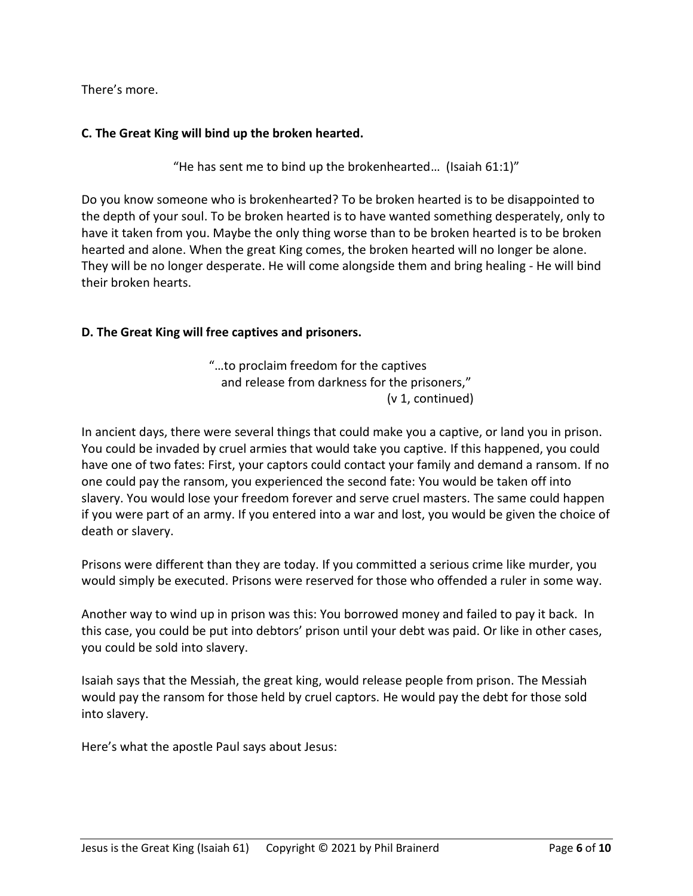There's more.

### **C. The Great King will bind up the broken hearted.**

"He has sent me to bind up the brokenhearted… (Isaiah 61:1)"

Do you know someone who is brokenhearted? To be broken hearted is to be disappointed to the depth of your soul. To be broken hearted is to have wanted something desperately, only to have it taken from you. Maybe the only thing worse than to be broken hearted is to be broken hearted and alone. When the great King comes, the broken hearted will no longer be alone. They will be no longer desperate. He will come alongside them and bring healing - He will bind their broken hearts.

### **D. The Great King will free captives and prisoners.**

"…to proclaim freedom for the captives and release from darkness for the prisoners," (v 1, continued)

In ancient days, there were several things that could make you a captive, or land you in prison. You could be invaded by cruel armies that would take you captive. If this happened, you could have one of two fates: First, your captors could contact your family and demand a ransom. If no one could pay the ransom, you experienced the second fate: You would be taken off into slavery. You would lose your freedom forever and serve cruel masters. The same could happen if you were part of an army. If you entered into a war and lost, you would be given the choice of death or slavery.

Prisons were different than they are today. If you committed a serious crime like murder, you would simply be executed. Prisons were reserved for those who offended a ruler in some way.

Another way to wind up in prison was this: You borrowed money and failed to pay it back. In this case, you could be put into debtors' prison until your debt was paid. Or like in other cases, you could be sold into slavery.

Isaiah says that the Messiah, the great king, would release people from prison. The Messiah would pay the ransom for those held by cruel captors. He would pay the debt for those sold into slavery.

Here's what the apostle Paul says about Jesus: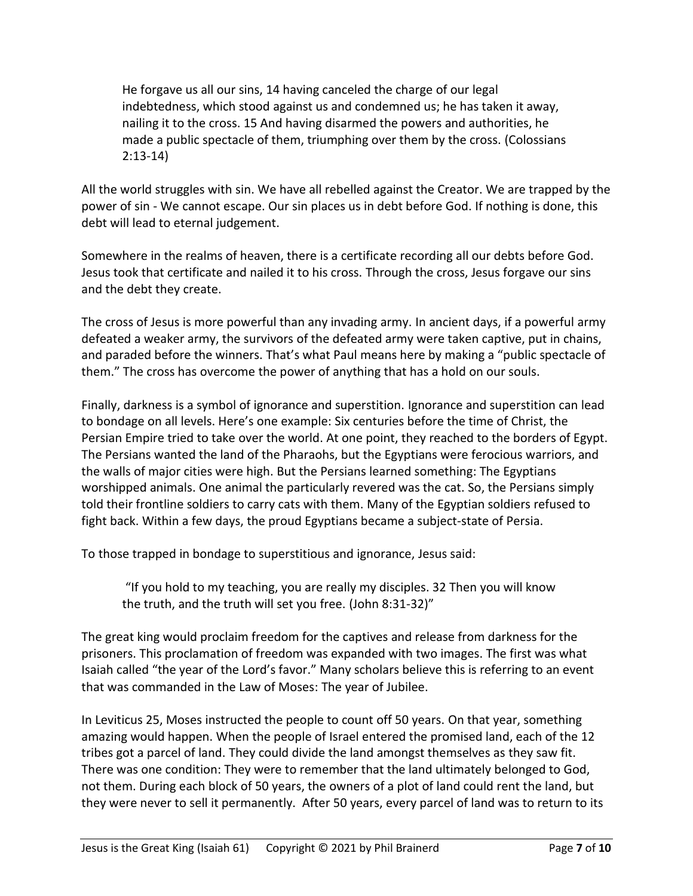He forgave us all our sins, 14 having canceled the charge of our legal indebtedness, which stood against us and condemned us; he has taken it away, nailing it to the cross. 15 And having disarmed the powers and authorities, he made a public spectacle of them, triumphing over them by the cross. (Colossians 2:13-14)

All the world struggles with sin. We have all rebelled against the Creator. We are trapped by the power of sin - We cannot escape. Our sin places us in debt before God. If nothing is done, this debt will lead to eternal judgement.

Somewhere in the realms of heaven, there is a certificate recording all our debts before God. Jesus took that certificate and nailed it to his cross. Through the cross, Jesus forgave our sins and the debt they create.

The cross of Jesus is more powerful than any invading army. In ancient days, if a powerful army defeated a weaker army, the survivors of the defeated army were taken captive, put in chains, and paraded before the winners. That's what Paul means here by making a "public spectacle of them." The cross has overcome the power of anything that has a hold on our souls.

Finally, darkness is a symbol of ignorance and superstition. Ignorance and superstition can lead to bondage on all levels. Here's one example: Six centuries before the time of Christ, the Persian Empire tried to take over the world. At one point, they reached to the borders of Egypt. The Persians wanted the land of the Pharaohs, but the Egyptians were ferocious warriors, and the walls of major cities were high. But the Persians learned something: The Egyptians worshipped animals. One animal the particularly revered was the cat. So, the Persians simply told their frontline soldiers to carry cats with them. Many of the Egyptian soldiers refused to fight back. Within a few days, the proud Egyptians became a subject-state of Persia.

To those trapped in bondage to superstitious and ignorance, Jesus said:

"If you hold to my teaching, you are really my disciples. 32 Then you will know the truth, and the truth will set you free. (John 8:31-32)"

The great king would proclaim freedom for the captives and release from darkness for the prisoners. This proclamation of freedom was expanded with two images. The first was what Isaiah called "the year of the Lord's favor." Many scholars believe this is referring to an event that was commanded in the Law of Moses: The year of Jubilee.

In Leviticus 25, Moses instructed the people to count off 50 years. On that year, something amazing would happen. When the people of Israel entered the promised land, each of the 12 tribes got a parcel of land. They could divide the land amongst themselves as they saw fit. There was one condition: They were to remember that the land ultimately belonged to God, not them. During each block of 50 years, the owners of a plot of land could rent the land, but they were never to sell it permanently. After 50 years, every parcel of land was to return to its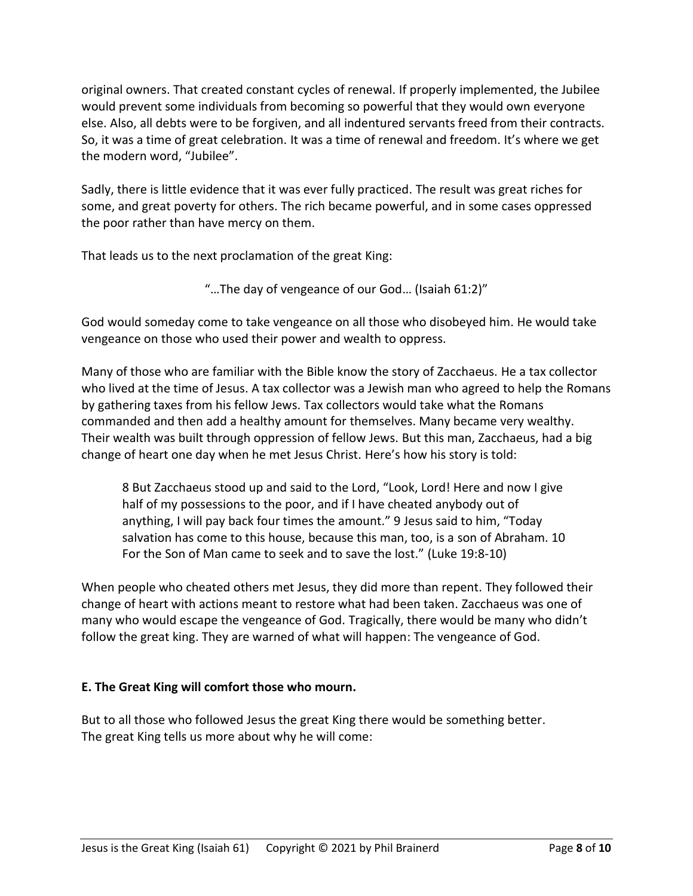original owners. That created constant cycles of renewal. If properly implemented, the Jubilee would prevent some individuals from becoming so powerful that they would own everyone else. Also, all debts were to be forgiven, and all indentured servants freed from their contracts. So, it was a time of great celebration. It was a time of renewal and freedom. It's where we get the modern word, "Jubilee".

Sadly, there is little evidence that it was ever fully practiced. The result was great riches for some, and great poverty for others. The rich became powerful, and in some cases oppressed the poor rather than have mercy on them.

That leads us to the next proclamation of the great King:

God would someday come to take vengeance on all those who disobeyed him. He would take vengeance on those who used their power and wealth to oppress.

Many of those who are familiar with the Bible know the story of Zacchaeus. He a tax collector who lived at the time of Jesus. A tax collector was a Jewish man who agreed to help the Romans by gathering taxes from his fellow Jews. Tax collectors would take what the Romans commanded and then add a healthy amount for themselves. Many became very wealthy. Their wealth was built through oppression of fellow Jews. But this man, Zacchaeus, had a big change of heart one day when he met Jesus Christ. Here's how his story is told:

8 But Zacchaeus stood up and said to the Lord, "Look, Lord! Here and now I give half of my possessions to the poor, and if I have cheated anybody out of anything, I will pay back four times the amount." 9 Jesus said to him, "Today salvation has come to this house, because this man, too, is a son of Abraham. 10 For the Son of Man came to seek and to save the lost." (Luke 19:8-10)

When people who cheated others met Jesus, they did more than repent. They followed their change of heart with actions meant to restore what had been taken. Zacchaeus was one of many who would escape the vengeance of God. Tragically, there would be many who didn't follow the great king. They are warned of what will happen: The vengeance of God.

# **E. The Great King will comfort those who mourn.**

But to all those who followed Jesus the great King there would be something better. The great King tells us more about why he will come:

<sup>&</sup>quot;…The day of vengeance of our God… (Isaiah 61:2)"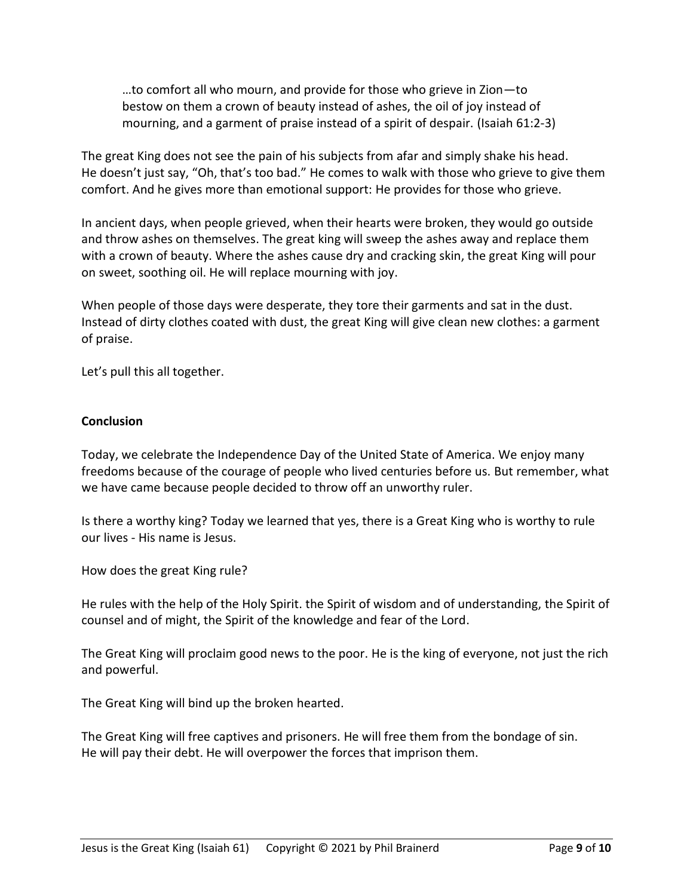…to comfort all who mourn, and provide for those who grieve in Zion—to bestow on them a crown of beauty instead of ashes, the oil of joy instead of mourning, and a garment of praise instead of a spirit of despair. (Isaiah 61:2-3)

The great King does not see the pain of his subjects from afar and simply shake his head. He doesn't just say, "Oh, that's too bad." He comes to walk with those who grieve to give them comfort. And he gives more than emotional support: He provides for those who grieve.

In ancient days, when people grieved, when their hearts were broken, they would go outside and throw ashes on themselves. The great king will sweep the ashes away and replace them with a crown of beauty. Where the ashes cause dry and cracking skin, the great King will pour on sweet, soothing oil. He will replace mourning with joy.

When people of those days were desperate, they tore their garments and sat in the dust. Instead of dirty clothes coated with dust, the great King will give clean new clothes: a garment of praise.

Let's pull this all together.

#### **Conclusion**

Today, we celebrate the Independence Day of the United State of America. We enjoy many freedoms because of the courage of people who lived centuries before us. But remember, what we have came because people decided to throw off an unworthy ruler.

Is there a worthy king? Today we learned that yes, there is a Great King who is worthy to rule our lives - His name is Jesus.

How does the great King rule?

He rules with the help of the Holy Spirit. the Spirit of wisdom and of understanding, the Spirit of counsel and of might, the Spirit of the knowledge and fear of the Lord.

The Great King will proclaim good news to the poor. He is the king of everyone, not just the rich and powerful.

The Great King will bind up the broken hearted.

The Great King will free captives and prisoners. He will free them from the bondage of sin. He will pay their debt. He will overpower the forces that imprison them.